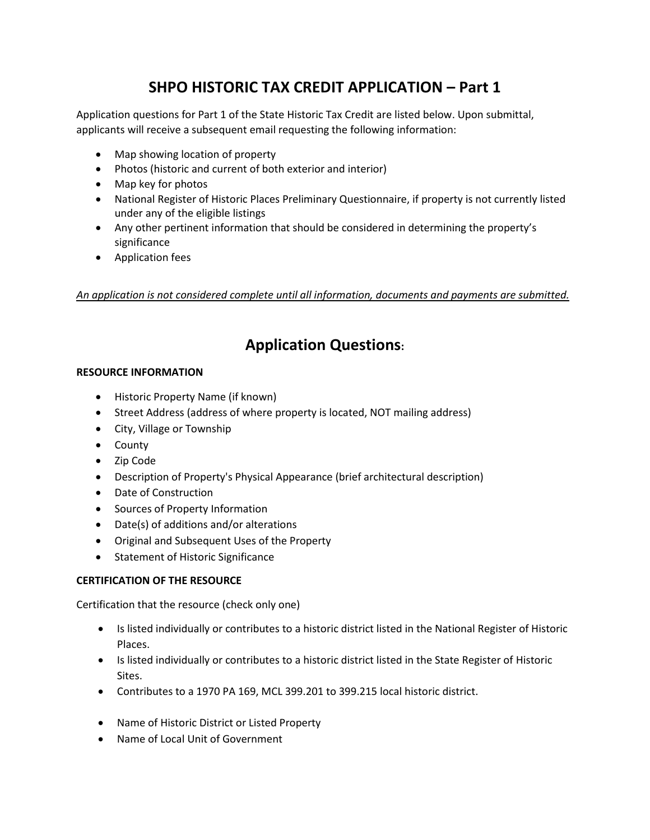## **SHPO HISTORIC TAX CREDIT APPLICATION – Part 1**

Application questions for Part 1 of the State Historic Tax Credit are listed below. Upon submittal, applicants will receive a subsequent email requesting the following information:

- Map showing location of property
- Photos (historic and current of both exterior and interior)
- Map key for photos
- National Register of Historic Places Preliminary Questionnaire, if property is not currently listed under any of the eligible listings
- Any other pertinent information that should be considered in determining the property's significance
- Application fees

*An application is not considered complete until all information, documents and payments are submitted.* 

# **Application Questions:**

### **RESOURCE INFORMATION**

- Historic Property Name (if known)
- Street Address (address of where property is located, NOT mailing address)
- City, Village or Township
- County
- Zip Code
- Description of Property's Physical Appearance (brief architectural description)
- Date of Construction
- Sources of Property Information
- Date(s) of additions and/or alterations
- Original and Subsequent Uses of the Property
- Statement of Historic Significance

## **CERTIFICATION OF THE RESOURCE**

Certification that the resource (check only one)

- Is listed individually or contributes to a historic district listed in the National Register of Historic Places.
- Is listed individually or contributes to a historic district listed in the State Register of Historic Sites.
- Contributes to a 1970 PA 169, MCL 399.201 to 399.215 local historic district.
- Name of Historic District or Listed Property
- Name of Local Unit of Government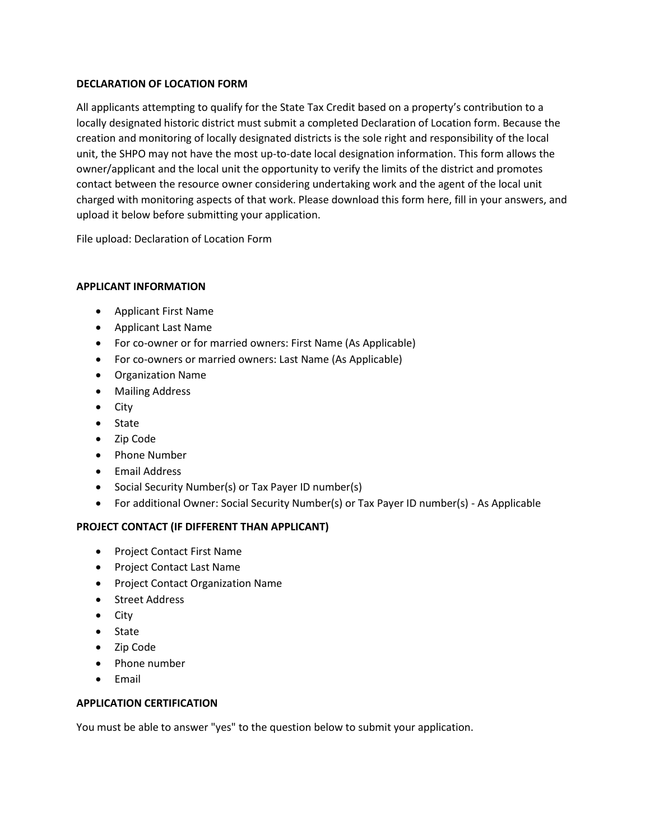### **DECLARATION OF LOCATION FORM**

All applicants attempting to qualify for the State Tax Credit based on a property's contribution to a locally designated historic district must submit a completed Declaration of Location form. Because the creation and monitoring of locally designated districts is the sole right and responsibility of the local unit, the SHPO may not have the most up-to-date local designation information. This form allows the owner/applicant and the local unit the opportunity to verify the limits of the district and promotes contact between the resource owner considering undertaking work and the agent of the local unit charged with monitoring aspects of that work. Please download this form here, fill in your answers, and upload it below before submitting your application.

File upload: Declaration of Location Form

### **APPLICANT INFORMATION**

- Applicant First Name
- Applicant Last Name
- For co-owner or for married owners: First Name (As Applicable)
- For co-owners or married owners: Last Name (As Applicable)
- Organization Name
- Mailing Address
- City
- State
- Zip Code
- Phone Number
- Email Address
- Social Security Number(s) or Tax Payer ID number(s)
- For additional Owner: Social Security Number(s) or Tax Payer ID number(s) As Applicable

## **PROJECT CONTACT (IF DIFFERENT THAN APPLICANT)**

- Project Contact First Name
- Project Contact Last Name
- Project Contact Organization Name
- Street Address
- City
- State
- Zip Code
- Phone number
- Email

#### **APPLICATION CERTIFICATION**

You must be able to answer "yes" to the question below to submit your application.